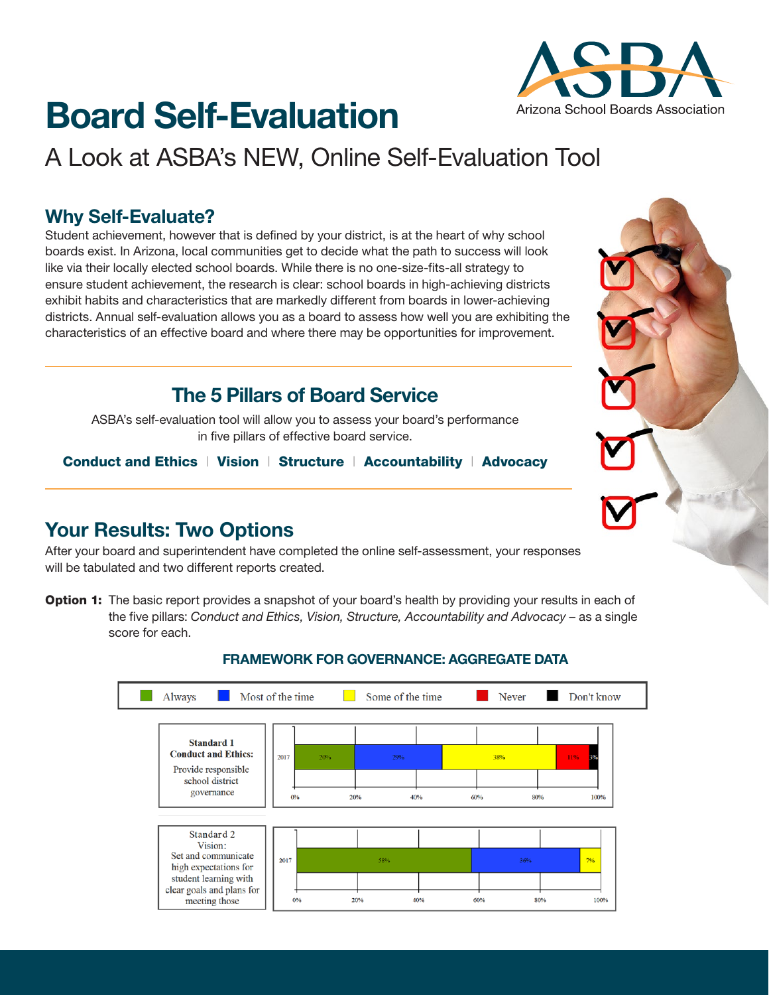# **Board Self-Evaluation**

## A Look at ASBA's NEW, Online Self-Evaluation Tool

### **Why Self-Evaluate?**

Student achievement, however that is defined by your district, is at the heart of why school boards exist. In Arizona, local communities get to decide what the path to success will look like via their locally elected school boards. While there is no one-size-fits-all strategy to ensure student achievement, the research is clear: school boards in high-achieving districts exhibit habits and characteristics that are markedly different from boards in lower-achieving districts. Annual self-evaluation allows you as a board to assess how well you are exhibiting the characteristics of an effective board and where there may be opportunities for improvement.

## **The 5 Pillars of Board Service**

ASBA's self-evaluation tool will allow you to assess your board's performance in five pillars of effective board service.

Conduct and Ethics | Vision | Structure | Accountability | Advocacy

## **Your Results: Two Options**

After your board and superintendent have completed the online self-assessment, your responses will be tabulated and two different reports created.

Option 1: The basic report provides a snapshot of your board's health by providing your results in each of the five pillars: *Conduct and Ethics, Vision, Structure, Accountability and Advocacy* – as a single score for each.



#### **FRAMEWORK FOR GOVERNANCE: AGGREGATE DATA**